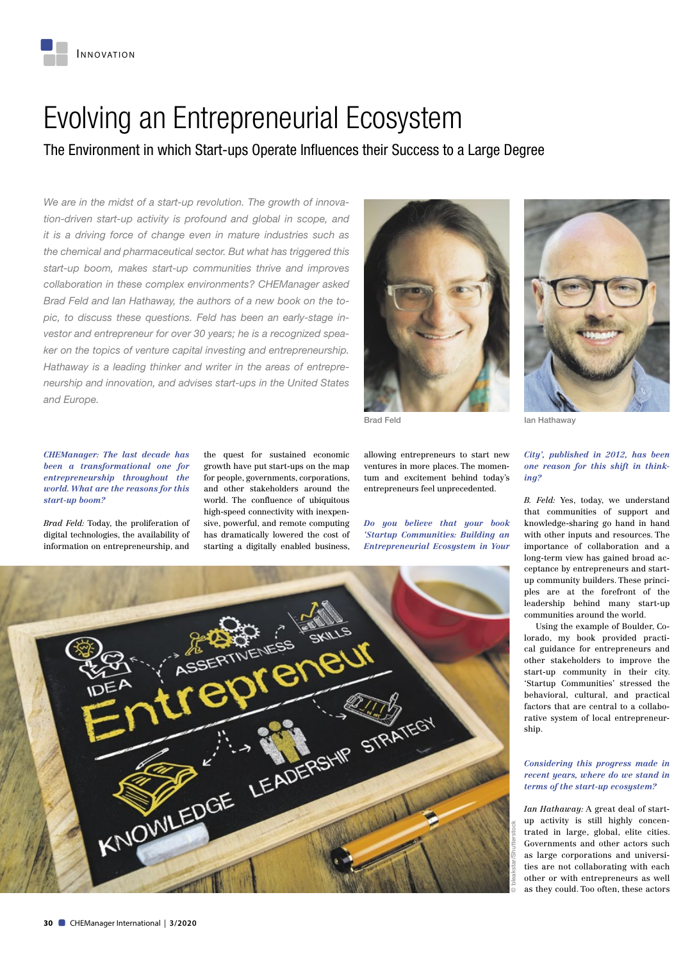# Evolving an Entrepreneurial Ecosystem

The Environment in which Start-ups Operate Influences their Success to a Large Degree

*We are in the midst of a start-up revolution. The growth of innovation-driven start-up activity is profound and global in scope, and it is a driving force of change even in mature industries such as the chemical and pharmaceutical sector. But what has triggered this start-up boom, makes start-up communities thrive and improves collaboration in these complex environments? CHEManager asked Brad Feld and Ian Hathaway, the authors of a new book on the topic, to discuss these questions. Feld has been an early-stage investor and entrepreneur for over 30 years; he is a recognized speaker on the topics of venture capital investing and entrepreneurship. Hathaway is a leading thinker and writer in the areas of entrepreneurship and innovation, and advises start-ups in the United States and Europe.*



*CHEManager: The last decade has been a transformational one for entrepreneurship throughout the world. What are the reasons for this start-up boom?*

*Brad Feld:* Today, the proliferation of digital technologies, the availability of information on entrepreneurship, and

the quest for sustained economic growth have put start-ups on the map for people, governments, corporations, and other stakeholders around the world. The confluence of ubiquitous high-speed connectivity with inexpensive, powerful, and remote computing has dramatically lowered the cost of starting a digitally enabled business, allowing entrepreneurs to start new ventures in more places. The momentum and excitement behind today's entrepreneurs feel unprecedented.

*Do you believe that your book 'Startup Communities: Building an Entrepreneurial Ecosystem in Your* 





Brad Feld **Ian Hathaway** 

## *City', published in 2012, has been one reason for this shift in thinking?*

*B. Feld:* Yes, today, we understand that communities of support and knowledge-sharing go hand in hand with other inputs and resources. The importance of collaboration and a long-term view has gained broad acceptance by entrepreneurs and startup community builders. These principles are at the forefront of the leadership behind many start-up communities around the world.

Using the example of Boulder, Colorado, my book provided practical guidance for entrepreneurs and other stakeholders to improve the start-up community in their city. 'Startup Communities' stressed the behavioral, cultural, and practical factors that are central to a collaborative system of local entrepreneurship.

#### *Considering this progress made in recent years, where do we stand in terms of the start-up ecosystem?*

*Ian Hathaway:* A great deal of startup activity is still highly concentrated in large, global, elite cities. Governments and other actors such as large corporations and universities are not collaborating with each other or with entrepreneurs as well as they could. Too often, these actors